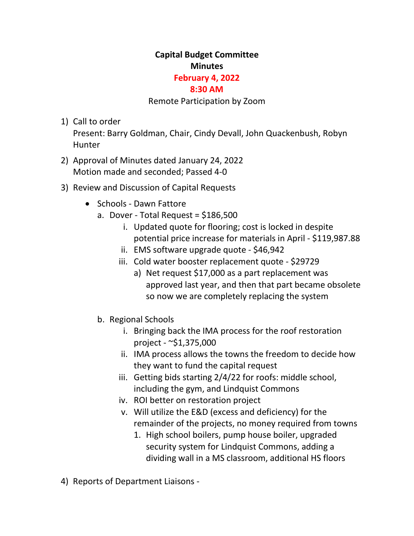## **Capital Budget Committee Minutes**

## **February 4, 2022**

## **8:30 AM**

## Remote Participation by Zoom

1) Call to order

Present: Barry Goldman, Chair, Cindy Devall, John Quackenbush, Robyn Hunter

- 2) Approval of Minutes dated January 24, 2022 Motion made and seconded; Passed 4-0
- 3) Review and Discussion of Capital Requests
	- Schools Dawn Fattore
		- a. Dover Total Request =  $$186,500$ 
			- i. Updated quote for flooring; cost is locked in despite potential price increase for materials in April - \$119,987.88
			- ii. EMS software upgrade quote \$46,942
			- iii. Cold water booster replacement quote \$29729
				- a) Net request \$17,000 as a part replacement was approved last year, and then that part became obsolete so now we are completely replacing the system
		- b. Regional Schools
			- i. Bringing back the IMA process for the roof restoration project - ~\$1,375,000
			- ii. IMA process allows the towns the freedom to decide how they want to fund the capital request
			- iii. Getting bids starting 2/4/22 for roofs: middle school, including the gym, and Lindquist Commons
			- iv. ROI better on restoration project
			- v. Will utilize the E&D (excess and deficiency) for the remainder of the projects, no money required from towns
				- 1. High school boilers, pump house boiler, upgraded security system for Lindquist Commons, adding a dividing wall in a MS classroom, additional HS floors
- 4) Reports of Department Liaisons -